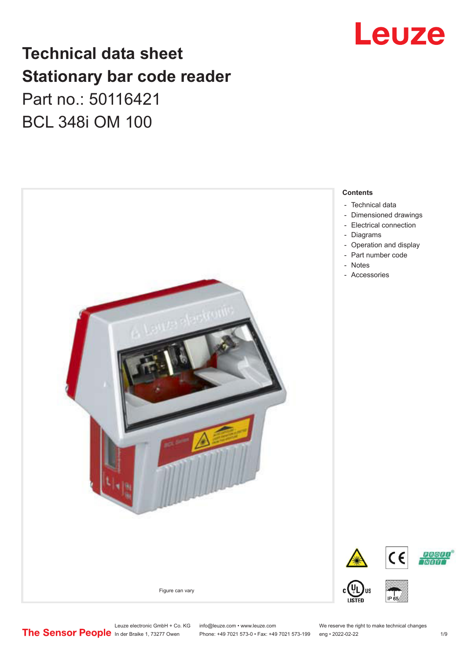

### **Technical data sheet Stationary bar code reader** Part no.: 50116421 BCL 348i OM 100



Leuze electronic GmbH + Co. KG info@leuze.com • www.leuze.com We reserve the right to make technical changes<br>
The Sensor People in der Braike 1, 73277 Owen Phone: +49 7021 573-0 • Fax: +49 7021 573-199 eng • 2022-02-22

Phone: +49 7021 573-0 • Fax: +49 7021 573-199 eng • 2022-02-22 1 /9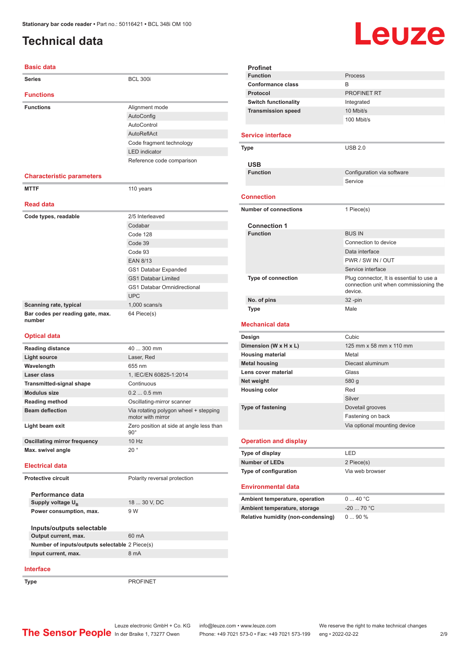### <span id="page-1-0"></span>**Technical data**

# Leuze

| <b>Basic data</b>                          |                                                            |
|--------------------------------------------|------------------------------------------------------------|
| <b>Series</b>                              | <b>BCL 300i</b>                                            |
| <b>Functions</b>                           |                                                            |
| <b>Functions</b>                           | Alignment mode                                             |
|                                            | AutoConfig                                                 |
|                                            | AutoControl                                                |
|                                            | AutoReflAct                                                |
|                                            | Code fragment technology                                   |
|                                            | <b>LED</b> indicator                                       |
|                                            | Reference code comparison                                  |
| <b>Characteristic parameters</b>           |                                                            |
| <b>MTTF</b>                                | 110 years                                                  |
| <b>Read data</b>                           |                                                            |
| Code types, readable                       | 2/5 Interleaved                                            |
|                                            | Codabar                                                    |
|                                            | Code 128                                                   |
|                                            | Code 39                                                    |
|                                            | Code 93                                                    |
|                                            | <b>EAN 8/13</b>                                            |
|                                            | GS1 Databar Expanded                                       |
|                                            | <b>GS1 Databar Limited</b>                                 |
|                                            | <b>GS1 Databar Omnidirectional</b>                         |
|                                            | <b>UPC</b>                                                 |
| Scanning rate, typical                     | $1,000$ scans/s                                            |
| Bar codes per reading gate, max.<br>number | 64 Piece(s)                                                |
| <b>Optical data</b>                        |                                                            |
| <b>Reading distance</b>                    | 40  300 mm                                                 |
| <b>Light source</b>                        | Laser, Red                                                 |
| Wavelength                                 | 655 nm                                                     |
| Laser class                                | 1, IEC/EN 60825-1:2014                                     |
| <b>Transmitted-signal shape</b>            | Continuous                                                 |
| <b>Modulus size</b>                        | $0.20.5$ mm                                                |
| <b>Reading method</b>                      | Oscillating-mirror scanner                                 |
| <b>Beam deflection</b>                     | Via rotating polygon wheel + stepping<br>motor with mirror |
| Light beam exit                            | Zero position at side at angle less than<br>$90^{\circ}$   |
| <b>Oscillating mirror frequency</b>        | 10 Hz                                                      |
| Max. swivel angle                          | $20^{\circ}$                                               |
| <b>Electrical data</b>                     |                                                            |

| <b>Profinet</b>                           |                                                                                    |
|-------------------------------------------|------------------------------------------------------------------------------------|
| <b>Function</b>                           | Process                                                                            |
| <b>Conformance class</b>                  | B                                                                                  |
| Protocol                                  | <b>PROFINET RT</b>                                                                 |
| <b>Switch functionality</b>               | Integrated                                                                         |
| <b>Transmission speed</b>                 | 10 Mbit/s                                                                          |
|                                           | 100 Mbit/s                                                                         |
|                                           |                                                                                    |
| <b>Service interface</b>                  |                                                                                    |
| <b>Type</b>                               | USB20                                                                              |
|                                           |                                                                                    |
| <b>USB</b>                                |                                                                                    |
| <b>Function</b>                           | Configuration via software                                                         |
|                                           | Service                                                                            |
|                                           |                                                                                    |
| <b>Connection</b>                         |                                                                                    |
| <b>Number of connections</b>              | 1 Piece(s)                                                                         |
|                                           |                                                                                    |
| <b>Connection 1</b>                       |                                                                                    |
| <b>Function</b>                           | <b>BUS IN</b>                                                                      |
|                                           | Connection to device                                                               |
|                                           | Data interface                                                                     |
|                                           | PWR / SW IN / OUT                                                                  |
|                                           | Service interface                                                                  |
| Type of connection                        | Plug connector, It is essential to use a<br>connection unit when commissioning the |
|                                           | device.                                                                            |
| No. of pins                               | $32 - pin$                                                                         |
|                                           |                                                                                    |
| <b>Type</b>                               | Male                                                                               |
|                                           |                                                                                    |
| <b>Mechanical data</b>                    |                                                                                    |
| Design                                    | Cubic                                                                              |
| Dimension (W x H x L)                     | 125 mm x 58 mm x 110 mm                                                            |
| <b>Housing material</b>                   | Metal                                                                              |
| <b>Metal housing</b>                      | Diecast aluminum                                                                   |
| Lens cover material                       | Glass                                                                              |
| Net weight                                | 580 g                                                                              |
| <b>Housing color</b>                      | Red                                                                                |
|                                           | Silver                                                                             |
| <b>Type of fastening</b>                  | Dovetail grooves                                                                   |
|                                           | Fastening on back                                                                  |
|                                           | Via optional mounting device                                                       |
|                                           |                                                                                    |
| <b>Operation and display</b>              |                                                                                    |
| Type of display                           | <b>LED</b>                                                                         |
| <b>Number of LEDs</b>                     | 2 Piece(s)                                                                         |
| Type of configuration                     | Via web browser                                                                    |
| <b>Environmental data</b>                 |                                                                                    |
|                                           |                                                                                    |
| Ambient temperature, operation            | 040 °C                                                                             |
| Ambient temperature, storage              | $-20$ 70 °C                                                                        |
| <b>Relative humidity (non-condensing)</b> | 090%                                                                               |
|                                           |                                                                                    |
|                                           |                                                                                    |

#### **Interface**

**Performance data Supply voltage U<sub>B</sub>** 

**Inputs/outputs selectable**

**Power consumption, max.** 9 W

**Output current, max.** 60 mA **Number of inputs/outputs selectable** 2 Piece(s) **Input current, max.** 8 mA

Type **PROFINET** 

18 ... 30 V, DC

Leuze electronic GmbH + Co. KG info@leuze.com • www.leuze.com Media 1, 73277 Owen Phone: +49 7021 573-0 • Fax: +49 7021 573-199 eng • 2022-02-22

**Protective circuit** Polarity reversal protection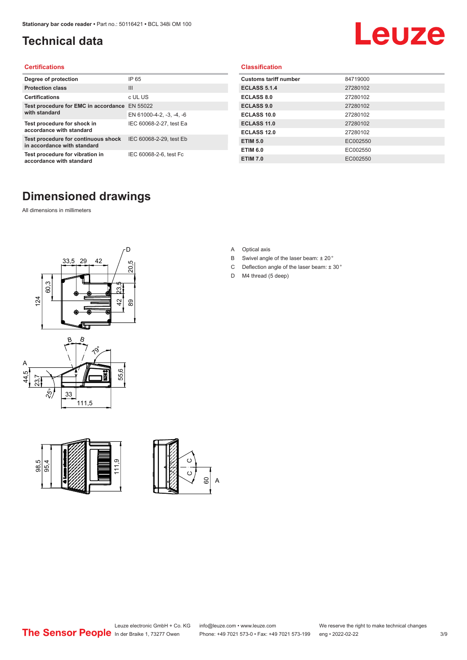### <span id="page-2-0"></span>**Technical data**

# Leuze

#### **Certifications**

| Degree of protection                                               | IP 65                    |
|--------------------------------------------------------------------|--------------------------|
| <b>Protection class</b>                                            | Ш                        |
| <b>Certifications</b>                                              | c UL US                  |
| Test procedure for EMC in accordance                               | EN 55022                 |
| with standard                                                      | EN 61000-4-2, -3, -4, -6 |
| Test procedure for shock in<br>accordance with standard            | IEC 60068-2-27, test Ea  |
| Test procedure for continuous shock<br>in accordance with standard | IEC 60068-2-29, test Eb  |
| Test procedure for vibration in<br>accordance with standard        | IEC 60068-2-6, test Fc   |

#### **Classification**

| <b>Customs tariff number</b> | 84719000 |
|------------------------------|----------|
| <b>ECLASS 5.1.4</b>          | 27280102 |
| <b>ECLASS 8.0</b>            | 27280102 |
| <b>ECLASS 9.0</b>            | 27280102 |
| ECLASS 10.0                  | 27280102 |
| <b>ECLASS 11.0</b>           | 27280102 |
| ECLASS 12.0                  | 27280102 |
| <b>ETIM 5.0</b>              | EC002550 |
| <b>ETIM 6.0</b>              | EC002550 |
| <b>ETIM 7.0</b>              | EC002550 |

### **Dimensioned drawings**

All dimensions in millimeters









- B Swivel angle of the laser beam: ± 20 °
- C Deflection angle of the laser beam:  $\pm$  30 $^{\circ}$
- D M4 thread (5 deep)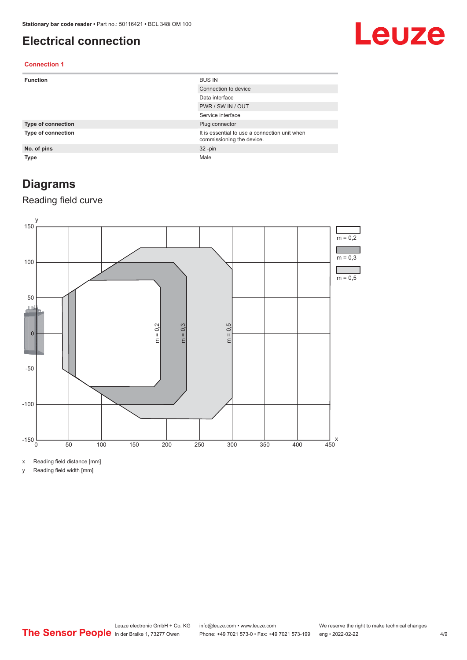### <span id="page-3-0"></span>**Electrical connection**

## Leuze

#### **Connection 1**

| <b>Function</b>           | <b>BUS IN</b>                                                              |
|---------------------------|----------------------------------------------------------------------------|
|                           | Connection to device                                                       |
|                           | Data interface                                                             |
|                           | PWR / SW IN / OUT                                                          |
|                           | Service interface                                                          |
| <b>Type of connection</b> | Plug connector                                                             |
| <b>Type of connection</b> | It is essential to use a connection unit when<br>commissioning the device. |
| No. of pins               | $32 - pin$                                                                 |
| <b>Type</b>               | Male                                                                       |

### **Diagrams**

#### Reading field curve



x Reading field distance [mm]

y Reading field width [mm]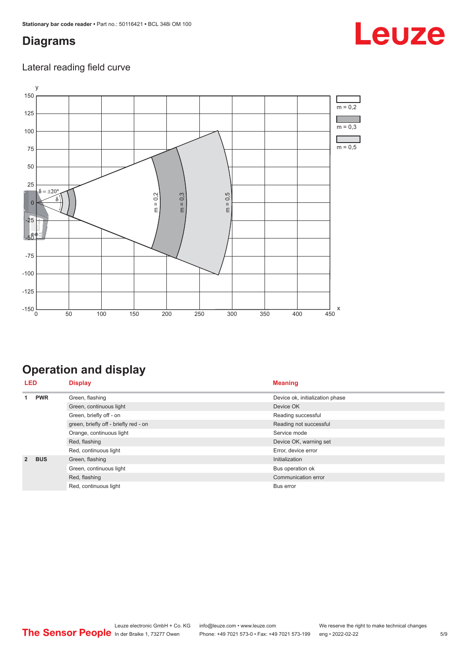### <span id="page-4-0"></span>**Diagrams**

### Lateral reading field curve



### **Operation and display**

|                | <b>LED</b><br><b>Display</b> |                                       | <b>Meaning</b>                  |
|----------------|------------------------------|---------------------------------------|---------------------------------|
| 4              | <b>PWR</b>                   | Green, flashing                       | Device ok, initialization phase |
|                |                              | Green, continuous light               | Device OK                       |
|                |                              | Green, briefly off - on               | Reading successful              |
|                |                              | green, briefly off - briefly red - on | Reading not successful          |
|                |                              | Orange, continuous light              | Service mode                    |
|                |                              | Red, flashing                         | Device OK, warning set          |
|                |                              | Red, continuous light                 | Error, device error             |
| $\overline{2}$ | <b>BUS</b>                   | Green, flashing                       | Initialization                  |
|                |                              | Green, continuous light               | Bus operation ok                |
|                |                              | Red, flashing                         | Communication error             |
|                |                              | Red, continuous light                 | <b>Bus error</b>                |

## Leuze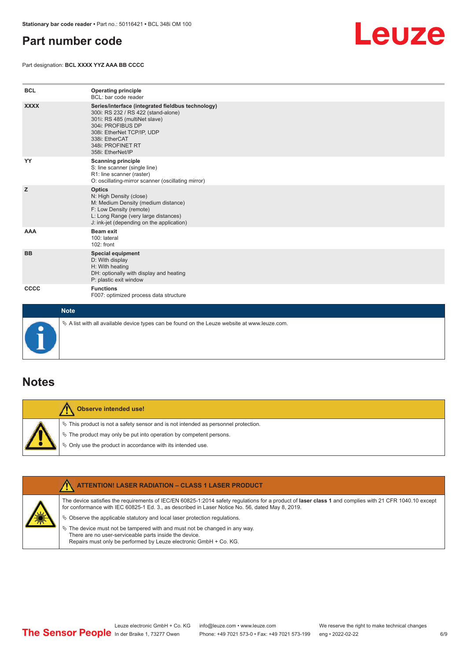### <span id="page-5-0"></span>**Part number code**

Part designation: **BCL XXXX YYZ AAA BB CCCC**



| <b>BCL</b>  | <b>Operating principle</b><br>BCL: bar code reader                                                                                                                                                                                       |
|-------------|------------------------------------------------------------------------------------------------------------------------------------------------------------------------------------------------------------------------------------------|
| <b>XXXX</b> | Series/interface (integrated fieldbus technology)<br>300i: RS 232 / RS 422 (stand-alone)<br>301i: RS 485 (multiNet slave)<br>304i: PROFIBUS DP<br>308i: EtherNet TCP/IP, UDP<br>338i: EtherCAT<br>348i: PROFINET RT<br>358i: EtherNet/IP |
| YY          | <b>Scanning principle</b><br>S: line scanner (single line)<br>R1: line scanner (raster)<br>O: oscillating-mirror scanner (oscillating mirror)                                                                                            |
| z           | <b>Optics</b><br>N: High Density (close)<br>M: Medium Density (medium distance)<br>F: Low Density (remote)<br>L: Long Range (very large distances)<br>J: ink-jet (depending on the application)                                          |
| <b>AAA</b>  | <b>Beam exit</b><br>100: lateral<br>102: front                                                                                                                                                                                           |
| <b>BB</b>   | Special equipment<br>D: With display<br>H: With heating<br>DH: optionally with display and heating<br>P: plastic exit window                                                                                                             |
| CCCC        | <b>Functions</b><br>F007: optimized process data structure                                                                                                                                                                               |
| <b>Note</b> |                                                                                                                                                                                                                                          |



 $\%$  A list with all available device types can be found on the Leuze website at www.leuze.com.

### **Notes**

**Observe intended use!** Λ  $\%$  This product is not a safety sensor and is not intended as personnel protection.  $\%$  The product may only be put into operation by competent persons.  $\%$  Only use the product in accordance with its intended use.

| <b>ATTENTION! LASER RADIATION - CLASS 1 LASER PRODUCT</b>                                                                                                                                                                                                  |
|------------------------------------------------------------------------------------------------------------------------------------------------------------------------------------------------------------------------------------------------------------|
| The device satisfies the requirements of IEC/EN 60825-1:2014 safety requlations for a product of laser class 1 and complies with 21 CFR 1040.10 except<br>for conformance with IEC 60825-1 Ed. 3., as described in Laser Notice No. 56, dated May 8, 2019. |
| $\&$ Observe the applicable statutory and local laser protection requisitions.                                                                                                                                                                             |
| $\%$ The device must not be tampered with and must not be changed in any way.<br>There are no user-serviceable parts inside the device.<br>Repairs must only be performed by Leuze electronic GmbH + Co. KG.                                               |
|                                                                                                                                                                                                                                                            |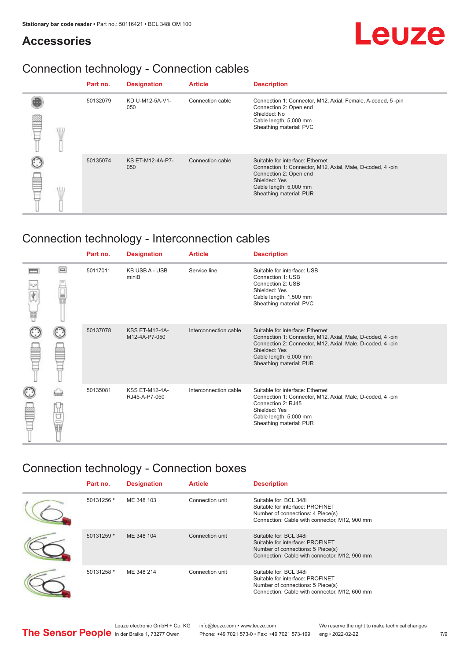### **Accessories**

# Leuze

### Connection technology - Connection cables

|     | Part no. | <b>Designation</b>      | <b>Article</b>   | <b>Description</b>                                                                                                                                                                            |
|-----|----------|-------------------------|------------------|-----------------------------------------------------------------------------------------------------------------------------------------------------------------------------------------------|
| WIL | 50132079 | KD U-M12-5A-V1-<br>050  | Connection cable | Connection 1: Connector, M12, Axial, Female, A-coded, 5-pin<br>Connection 2: Open end<br>Shielded: No<br>Cable length: 5,000 mm<br>Sheathing material: PVC                                    |
|     | 50135074 | KS ET-M12-4A-P7-<br>050 | Connection cable | Suitable for interface: Ethernet<br>Connection 1: Connector, M12, Axial, Male, D-coded, 4-pin<br>Connection 2: Open end<br>Shielded: Yes<br>Cable length: 5,000 mm<br>Sheathing material: PUR |

### Connection technology - Interconnection cables

|   |            | Part no. | <b>Designation</b>                     | <b>Article</b>        | <b>Description</b>                                                                                                                                                                                                               |
|---|------------|----------|----------------------------------------|-----------------------|----------------------------------------------------------------------------------------------------------------------------------------------------------------------------------------------------------------------------------|
| 鄲 | $\Box$     | 50117011 | <b>KB USB A - USB</b><br>miniB         | Service line          | Suitable for interface: USB<br>Connection 1: USB<br>Connection 2: USB<br>Shielded: Yes<br>Cable length: 1,500 mm<br>Sheathing material: PVC                                                                                      |
|   |            | 50137078 | <b>KSS ET-M12-4A-</b><br>M12-4A-P7-050 | Interconnection cable | Suitable for interface: Ethernet<br>Connection 1: Connector, M12, Axial, Male, D-coded, 4-pin<br>Connection 2: Connector, M12, Axial, Male, D-coded, 4-pin<br>Shielded: Yes<br>Cable length: 5,000 mm<br>Sheathing material: PUR |
|   | ti<br>Ultr | 50135081 | <b>KSS ET-M12-4A-</b><br>RJ45-A-P7-050 | Interconnection cable | Suitable for interface: Ethernet<br>Connection 1: Connector, M12, Axial, Male, D-coded, 4-pin<br>Connection 2: RJ45<br>Shielded: Yes<br>Cable length: 5,000 mm<br>Sheathing material: PUR                                        |

### Connection technology - Connection boxes

| Part no.   | <b>Designation</b> | <b>Article</b>  | <b>Description</b>                                                                                                                               |
|------------|--------------------|-----------------|--------------------------------------------------------------------------------------------------------------------------------------------------|
| 50131256 * | ME 348 103         | Connection unit | Suitable for: BCL 348i<br>Suitable for interface: PROFINET<br>Number of connections: 4 Piece(s)<br>Connection: Cable with connector, M12, 900 mm |
| 50131259 * | ME 348 104         | Connection unit | Suitable for: BCL 348i<br>Suitable for interface: PROFINET<br>Number of connections: 5 Piece(s)<br>Connection: Cable with connector, M12, 900 mm |
| 50131258 * | ME 348 214         | Connection unit | Suitable for: BCL 348i<br>Suitable for interface: PROFINET<br>Number of connections: 5 Piece(s)<br>Connection: Cable with connector, M12, 600 mm |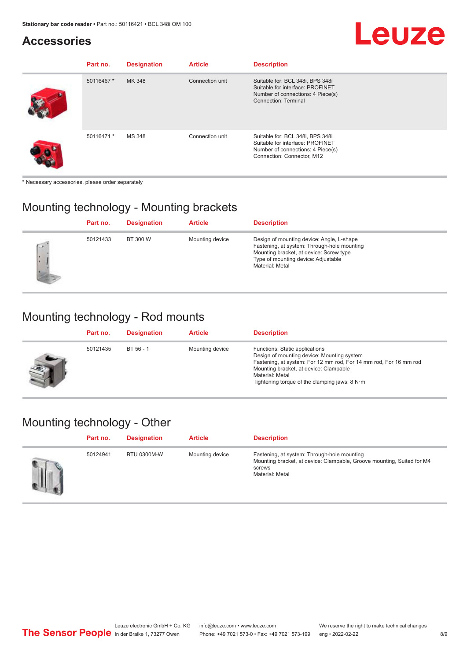# Leuze

### **Accessories**

| Part no.   | <b>Designation</b> | <b>Article</b>  | <b>Description</b>                                                                                                                      |
|------------|--------------------|-----------------|-----------------------------------------------------------------------------------------------------------------------------------------|
| 50116467 * | MK 348             | Connection unit | Suitable for: BCL 348i, BPS 348i<br>Suitable for interface: PROFINET<br>Number of connections: 4 Piece(s)<br>Connection: Terminal       |
| 50116471 * | MS 348             | Connection unit | Suitable for: BCL 348i, BPS 348i<br>Suitable for interface: PROFINET<br>Number of connections: 4 Piece(s)<br>Connection: Connector, M12 |

\* Necessary accessories, please order separately

### Mounting technology - Mounting brackets

|             | Part no. | <b>Designation</b> | <b>Article</b>  | <b>Description</b>                                                                                                                                                                            |
|-------------|----------|--------------------|-----------------|-----------------------------------------------------------------------------------------------------------------------------------------------------------------------------------------------|
| <b>Call</b> | 50121433 | BT 300 W           | Mounting device | Design of mounting device: Angle, L-shape<br>Fastening, at system: Through-hole mounting<br>Mounting bracket, at device: Screw type<br>Type of mounting device: Adjustable<br>Material: Metal |

### Mounting technology - Rod mounts

| Part no. | <b>Designation</b> | <b>Article</b>  | <b>Description</b>                                                                                                                                                                                                                                                |
|----------|--------------------|-----------------|-------------------------------------------------------------------------------------------------------------------------------------------------------------------------------------------------------------------------------------------------------------------|
| 50121435 | $BT 56 - 1$        | Mounting device | Functions: Static applications<br>Design of mounting device: Mounting system<br>Fastening, at system: For 12 mm rod, For 14 mm rod, For 16 mm rod<br>Mounting bracket, at device: Clampable<br>Material: Metal<br>Tightening torque of the clamping jaws: $8 N·m$ |

### Mounting technology - Other

| Part no. | <b>Designation</b> | <b>Article</b>  | <b>Description</b>                                                                                                                                 |
|----------|--------------------|-----------------|----------------------------------------------------------------------------------------------------------------------------------------------------|
| 50124941 | <b>BTU 0300M-W</b> | Mounting device | Fastening, at system: Through-hole mounting<br>Mounting bracket, at device: Clampable, Groove mounting, Suited for M4<br>screws<br>Material: Metal |